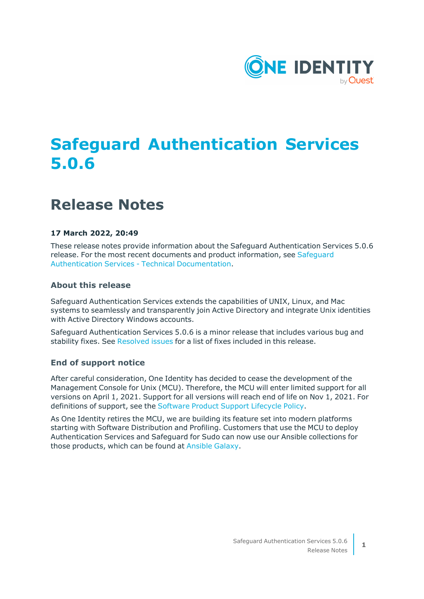

# **Safeguard Authentication Services 5.0.6**

### **Release Notes**

#### **17 March 2022, 20:49**

These release notes provide information about the Safeguard Authentication Services 5.0.6 release. For the most recent documents and product information, see [Safeguard](https://support.oneidentity.com/safeguard-authentication-services/technical-documents) Authentication Services - Technical [Documentation.](https://support.oneidentity.com/safeguard-authentication-services/technical-documents)

#### **About this release**

Safeguard Authentication Services extends the capabilities of UNIX, Linux, and Mac systems to seamlessly and transparently join Active Directory and integrate Unix identities with Active Directory Windows accounts.

Safeguard Authentication Services 5.0.6 is a minor release that includes various bug and stability fixes. See [Resolved](#page-3-0) issues for a list of fixes included in this release.

#### **End of support notice**

After careful consideration, One Identity has decided to cease the development of the Management Console for Unix (MCU). Therefore, the MCU will enter limited support for all versions on April 1, 2021. Support for all versions will reach end of life on Nov 1, 2021. For definitions of support, see the [Software](https://support.oneidentity.com/safeguard-authentication-services/5.0#ProductLifeCycleTable) Product Support Lifecycle Policy.

As One Identity retires the MCU, we are building its feature set into modern platforms starting with Software Distribution and Profiling. Customers that use the MCU to deploy Authentication Services and Safeguard for Sudo can now use our Ansible collections for those products, which can be found at [Ansible](https://galaxy.ansible.com/search?deprecated=false&keywords=%22oneidentity%22&order_by=-relevance&page=1) Galaxy.

**1**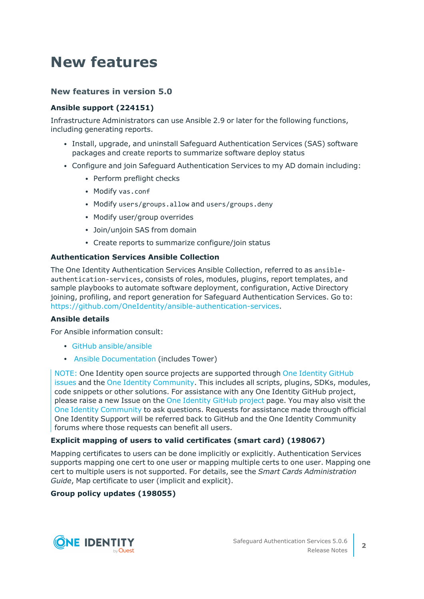## **New features**

#### **New features in version 5.0**

#### **Ansible support (224151)**

Infrastructure Administrators can use Ansible 2.9 or later for the following functions, including generating reports.

- Install, upgrade, and uninstall Safeguard Authentication Services (SAS) software packages and create reports to summarize software deploy status
- Configure and join Safeguard Authentication Services to my AD domain including:
	- Perform preflight checks
	- Modify vas.conf
	- Modify users/groups.allow and users/groups.deny
	- Modify user/group overrides
	- Join/unjoin SAS from domain
	- Create reports to summarize configure/join status

#### **Authentication Services Ansible Collection**

The One Identity Authentication Services Ansible Collection, referred to as ansibleauthentication-services, consists of roles, modules, plugins, report templates, and sample playbooks to automate software deployment, configuration, Active Directory joining, profiling, and report generation for Safeguard Authentication Services. Go to: <https://github.com/OneIdentity/ansible-authentication-services>.

#### **Ansible details**

For Ansible information consult:

- GitHub [ansible/ansible](https://github.com/ansible/ansible)
- Ansible [Documentation](https://docs.ansible.com/ansible/latest/index.html) (includes Tower)

NOTE: One Identity open source projects are supported through One [Identity](https://github.com/OneIdentity/ars-ps/issues) GitHub [issues](https://github.com/OneIdentity/ars-ps/issues) and the One Identity [Community.](https://www.oneidentity.com/community/) This includes all scripts, plugins, SDKs, modules, code snippets or other solutions. For assistance with any One Identity GitHub project, please raise a new Issue on the One [Identity](https://github.com/OneIdentity/ars-ps/issues) GitHub project page. You may also visit the One Identity [Community](https://www.oneidentity.com/community/) to ask questions. Requests for assistance made through official One Identity Support will be referred back to GitHub and the One Identity Community forums where those requests can benefit all users.

#### **Explicit mapping of users to valid certificates (smart card) (198067)**

Mapping certificates to users can be done implicitly or explicitly. Authentication Services supports mapping one cert to one user or mapping multiple certs to one user. Mapping one cert to multiple users is not supported. For details, see the *Smart Cards Administration Guide*, Map certificate to user (implicit and explicit).

#### **Group policy updates (198055)**

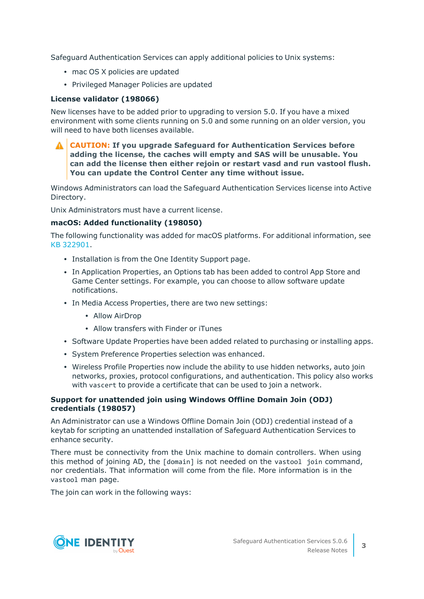Safeguard Authentication Services can apply additional policies to Unix systems:

- mac OS X policies are updated
- Privileged Manager Policies are updated

#### **License validator (198066)**

New licenses have to be added prior to upgrading to version 5.0. If you have a mixed environment with some clients running on 5.0 and some running on an older version, you will need to have both licenses available.

**CAUTION: If you upgrade Safeguard for Authentication Services before adding the license, the caches will empty and SAS will be unusable. You can add the license then either rejoin or restart vasd and run vastool flush. You can update the Control Center any time without issue.**

Windows Administrators can load the Safeguard Authentication Services license into Active Directory.

Unix Administrators must have a current license.

#### **macOS: Added functionality (198050)**

The following functionality was added for macOS platforms. For additional information, see [KB 322901.](https://support.oneidentity.com/authentication-services/kb/322901)

- Installation is from the One Identity Support page.
- In Application Properties, an Options tab has been added to control App Store and Game Center settings. For example, you can choose to allow software update notifications.
- In Media Access Properties, there are two new settings:
	- Allow AirDrop
	- Allow transfers with Finder or iTunes
- Software Update Properties have been added related to purchasing or installing apps.
- System Preference Properties selection was enhanced.
- Wireless Profile Properties now include the ability to use hidden networks, auto join networks, proxies, protocol configurations, and authentication. This policy also works with vascert to provide a certificate that can be used to join a network.

#### **Support for unattended join using Windows Offline Domain Join (ODJ) credentials (198057)**

An Administrator can use a Windows Offline Domain Join (ODJ) credential instead of a keytab for scripting an unattended installation of Safeguard Authentication Services to enhance security.

There must be connectivity from the Unix machine to domain controllers. When using this method of joining AD, the [domain] is not needed on the vastool join command, nor credentials. That information will come from the file. More information is in the vastool man page.

The join can work in the following ways:



**3**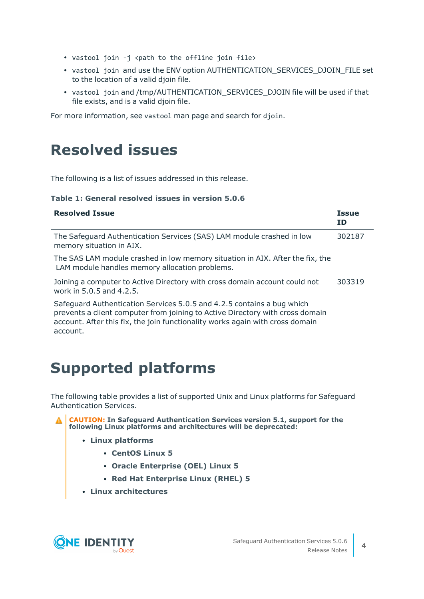- vastool join -j <path to the offline join file>
- vastool join and use the ENV option AUTHENTICATION\_SERVICES\_DJOIN\_FILE set to the location of a valid djoin file.
- vastool join and /tmp/AUTHENTICATION\_SERVICES\_DJOIN file will be used if that file exists, and is a valid djoin file.

<span id="page-3-0"></span>For more information, see vastool man page and search for djoin.

### **Resolved issues**

The following is a list of issues addressed in this release.

#### **Table 1: General resolved issues in version 5.0.6**

| <b>Resolved Issue</b>                                                                                                                                                                                                                                | <b>Issue</b><br><b>ID</b> |
|------------------------------------------------------------------------------------------------------------------------------------------------------------------------------------------------------------------------------------------------------|---------------------------|
| The Safeguard Authentication Services (SAS) LAM module crashed in low<br>memory situation in AIX.                                                                                                                                                    | 302187                    |
| The SAS LAM module crashed in low memory situation in AIX. After the fix, the<br>LAM module handles memory allocation problems.                                                                                                                      |                           |
| Joining a computer to Active Directory with cross domain account could not<br>work in 5.0.5 and 4.2.5.                                                                                                                                               | 303319                    |
| Safeguard Authentication Services 5.0.5 and 4.2.5 contains a bug which<br>prevents a client computer from joining to Active Directory with cross domain<br>account. After this fix, the join functionality works again with cross domain<br>account. |                           |

### **Supported platforms**

The following table provides a list of supported Unix and Linux platforms for Safeguard Authentication Services.

**CAUTION: In Safeguard Authentication Services version 5.1, support for the** A **following Linux platforms and architectures will be deprecated:**

- <sup>l</sup> **Linux platforms**
	- <sup>l</sup> **CentOS Linux 5**
	- <sup>l</sup> **Oracle Enterprise (OEL) Linux 5**
	- <sup>l</sup> **Red Hat Enterprise Linux (RHEL) 5**
- <sup>l</sup> **Linux architectures**



**4**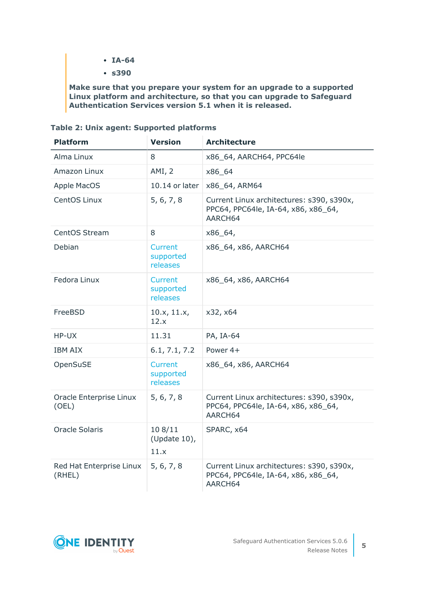- $\cdot$  IA-64
- <sup>l</sup> **s390**

**Make sure that you prepare your system for an upgrade to a supported Linux platform and architecture, so that you can upgrade to Safeguard Authentication Services version 5.1 when it is released.**

| <b>Platform</b>                    | <b>Version</b>                   | <b>Architecture</b>                                                                         |
|------------------------------------|----------------------------------|---------------------------------------------------------------------------------------------|
| Alma Linux                         | 8                                | x86_64, AARCH64, PPC64le                                                                    |
| Amazon Linux                       | AMI, 2                           | x86_64                                                                                      |
| Apple MacOS                        | 10.14 or later                   | x86 64, ARM64                                                                               |
| CentOS Linux                       | 5, 6, 7, 8                       | Current Linux architectures: s390, s390x,<br>PPC64, PPC64le, IA-64, x86, x86_64,<br>AARCH64 |
| CentOS Stream                      | 8                                | x86_64,                                                                                     |
| Debian                             | Current<br>supported<br>releases | x86_64, x86, AARCH64                                                                        |
| Fedora Linux                       | Current<br>supported<br>releases | x86_64, x86, AARCH64                                                                        |
| FreeBSD                            | 10.x, 11.x,<br>12.x              | x32, x64                                                                                    |
| HP-UX                              | 11.31                            | PA, IA-64                                                                                   |
| <b>IBM AIX</b>                     | 6.1, 7.1, 7.2                    | Power 4+                                                                                    |
| OpenSuSE                           | Current<br>supported<br>releases | x86_64, x86, AARCH64                                                                        |
| Oracle Enterprise Linux<br>(OEL)   | 5, 6, 7, 8                       | Current Linux architectures: s390, s390x,<br>PPC64, PPC64le, IA-64, x86, x86_64,<br>AARCH64 |
| <b>Oracle Solaris</b>              | 108/11<br>(Update 10),<br>11.x   | SPARC, x64                                                                                  |
| Red Hat Enterprise Linux<br>(RHEL) | 5, 6, 7, 8                       | Current Linux architectures: s390, s390x,<br>PPC64, PPC64le, IA-64, x86, x86_64,<br>AARCH64 |

#### **Table 2: Unix agent: Supported platforms**

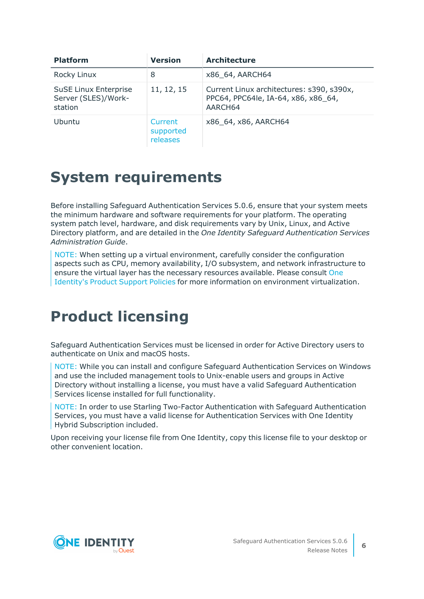| <b>Platform</b>                                                | <b>Version</b>                   | <b>Architecture</b>                                                                         |
|----------------------------------------------------------------|----------------------------------|---------------------------------------------------------------------------------------------|
| Rocky Linux                                                    | 8                                | x86_64, AARCH64                                                                             |
| <b>SuSE Linux Enterprise</b><br>Server (SLES)/Work-<br>station | 11, 12, 15                       | Current Linux architectures: s390, s390x,<br>PPC64, PPC64le, IA-64, x86, x86 64,<br>AARCH64 |
| Ubuntu                                                         | Current<br>supported<br>releases | x86 64, x86, AARCH64                                                                        |

### **System requirements**

Before installing Safeguard Authentication Services 5.0.6, ensure that your system meets the minimum hardware and software requirements for your platform. The operating system patch level, hardware, and disk requirements vary by Unix, Linux, and Active Directory platform, and are detailed in the *One Identity Safeguard Authentication Services Administration Guide*.

NOTE: When setting up a virtual environment, carefully consider the configuration aspects such as CPU, memory availability, I/O subsystem, and network infrastructure to ensure the virtual layer has the necessary resources available. Please consult [One](https://support.oneidentity.com/essentials/support-guide#tab3) [Identity's](https://support.oneidentity.com/essentials/support-guide#tab3) Product Support Policies for more information on environment virtualization.

## **Product licensing**

Safeguard Authentication Services must be licensed in order for Active Directory users to authenticate on Unix and macOS hosts.

NOTE: While you can install and configure Safeguard Authentication Services on Windows and use the included management tools to Unix-enable users and groups in Active Directory without installing a license, you must have a valid Safeguard Authentication Services license installed for full functionality.

NOTE: In order to use Starling Two-Factor Authentication with Safeguard Authentication Services, you must have a valid license for Authentication Services with One Identity Hybrid Subscription included.

Upon receiving your license file from One Identity, copy this license file to your desktop or other convenient location.

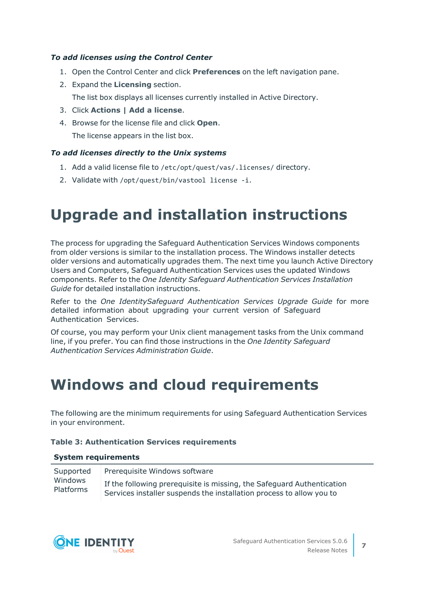#### *To add licenses using the Control Center*

- 1. Open the Control Center and click **Preferences** on the left navigation pane.
- 2. Expand the **Licensing** section.
	- The list box displays all licenses currently installed in Active Directory.
- 3. Click **Actions | Add a license**.
- 4. Browse for the license file and click **Open**. The license appears in the list box.

#### *To add licenses directly to the Unix systems*

- 1. Add a valid license file to /etc/opt/quest/vas/.licenses/ directory.
- 2. Validate with /opt/quest/bin/vastool license -i.

## **Upgrade and installation instructions**

The process for upgrading the Safeguard Authentication Services Windows components from older versions is similar to the installation process. The Windows installer detects older versions and automatically upgrades them. The next time you launch Active Directory Users and Computers, Safeguard Authentication Services uses the updated Windows components. Refer to the *One Identity Safeguard Authentication Services Installation Guide* for detailed installation instructions.

Refer to the *One IdentitySafeguard Authentication Services Upgrade Guide* for more detailed information about upgrading your current version of Safeguard Authentication Services.

Of course, you may perform your Unix client management tasks from the Unix command line, if you prefer. You can find those instructions in the *One Identity Safeguard Authentication Services Administration Guide*.

### **Windows and cloud requirements**

The following are the minimum requirements for using Safeguard Authentication Services in your environment.

#### **Table 3: Authentication Services requirements**

#### **System requirements**

| Supported | Prerequisite Windows software                                          |
|-----------|------------------------------------------------------------------------|
| Windows   | If the following prerequisite is missing, the Safeguard Authentication |
| Platforms | Services installer suspends the installation process to allow you to   |



**7**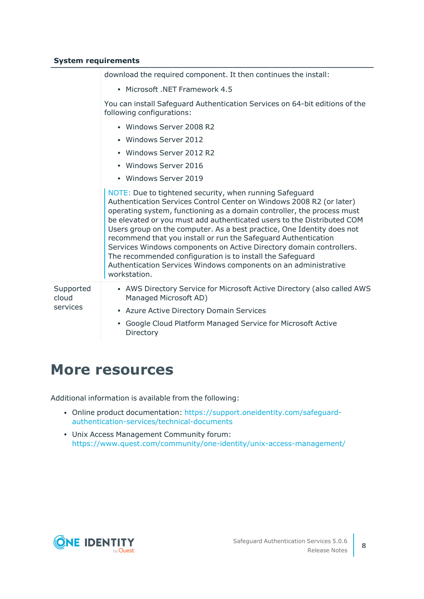#### **System requirements**

|                                | download the required component. It then continues the install:                                                                                                                                                                                                                                                                                                                                                                                                                                                                                                                                                                                        |
|--------------------------------|--------------------------------------------------------------------------------------------------------------------------------------------------------------------------------------------------------------------------------------------------------------------------------------------------------------------------------------------------------------------------------------------------------------------------------------------------------------------------------------------------------------------------------------------------------------------------------------------------------------------------------------------------------|
|                                | • Microsoft .NET Framework 4.5                                                                                                                                                                                                                                                                                                                                                                                                                                                                                                                                                                                                                         |
|                                | You can install Safeguard Authentication Services on 64-bit editions of the<br>following configurations:                                                                                                                                                                                                                                                                                                                                                                                                                                                                                                                                               |
|                                | • Windows Server 2008 R2                                                                                                                                                                                                                                                                                                                                                                                                                                                                                                                                                                                                                               |
|                                | • Windows Server 2012                                                                                                                                                                                                                                                                                                                                                                                                                                                                                                                                                                                                                                  |
|                                | • Windows Server 2012 R2                                                                                                                                                                                                                                                                                                                                                                                                                                                                                                                                                                                                                               |
|                                | • Windows Server 2016                                                                                                                                                                                                                                                                                                                                                                                                                                                                                                                                                                                                                                  |
|                                | • Windows Server 2019                                                                                                                                                                                                                                                                                                                                                                                                                                                                                                                                                                                                                                  |
|                                | NOTE: Due to tightened security, when running Safeguard<br>Authentication Services Control Center on Windows 2008 R2 (or later)<br>operating system, functioning as a domain controller, the process must<br>be elevated or you must add authenticated users to the Distributed COM<br>Users group on the computer. As a best practice, One Identity does not<br>recommend that you install or run the Safeguard Authentication<br>Services Windows components on Active Directory domain controllers.<br>The recommended configuration is to install the Safeguard<br>Authentication Services Windows components on an administrative<br>workstation. |
| Supported<br>cloud<br>services | • AWS Directory Service for Microsoft Active Directory (also called AWS<br>Managed Microsoft AD)                                                                                                                                                                                                                                                                                                                                                                                                                                                                                                                                                       |
|                                | • Azure Active Directory Domain Services                                                                                                                                                                                                                                                                                                                                                                                                                                                                                                                                                                                                               |
|                                | Google Cloud Platform Managed Service for Microsoft Active<br>Directory                                                                                                                                                                                                                                                                                                                                                                                                                                                                                                                                                                                |

### **More resources**

Additional information is available from the following:

- Online product documentation: [https://support.oneidentity.com/safeguard](https://support.oneidentity.com/safeguard-authentication-services/technical-documents)[authentication-services/technical-documents](https://support.oneidentity.com/safeguard-authentication-services/technical-documents)
- Unix Access Management Community forum: <https://www.quest.com/community/one-identity/unix-access-management/>

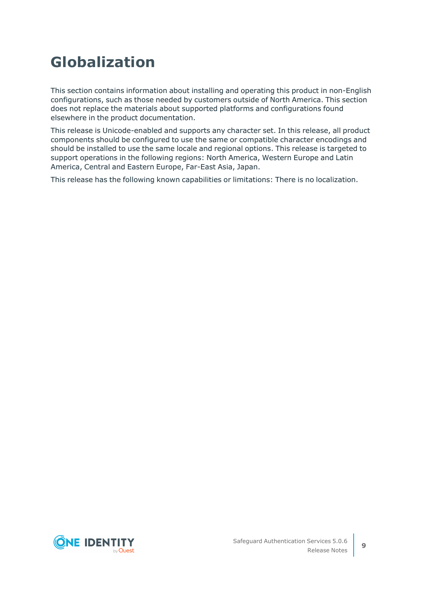# **Globalization**

This section contains information about installing and operating this product in non-English configurations, such as those needed by customers outside of North America. This section does not replace the materials about supported platforms and configurations found elsewhere in the product documentation.

This release is Unicode-enabled and supports any character set. In this release, all product components should be configured to use the same or compatible character encodings and should be installed to use the same locale and regional options. This release is targeted to support operations in the following regions: North America, Western Europe and Latin America, Central and Eastern Europe, Far-East Asia, Japan.

This release has the following known capabilities or limitations: There is no localization.

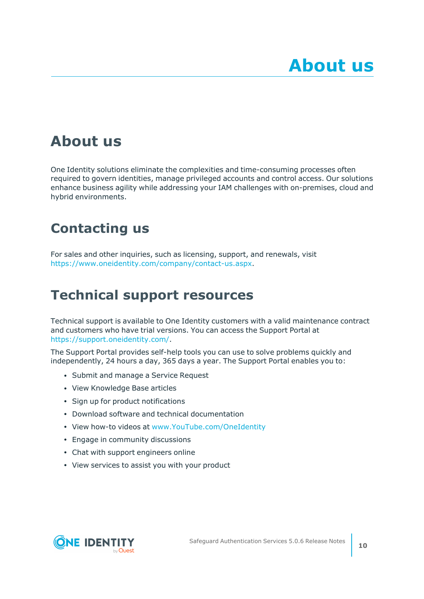# **About us**

### **About us**

One Identity solutions eliminate the complexities and time-consuming processes often required to govern identities, manage privileged accounts and control access. Our solutions enhance business agility while addressing your IAM challenges with on-premises, cloud and hybrid environments.

### **Contacting us**

For sales and other inquiries, such as licensing, support, and renewals, visit [https://www.oneidentity.com/company/contact-us.aspx.](https://www.oneidentity.com/company/contact-us.aspx)

### **Technical support resources**

Technical support is available to One Identity customers with a valid maintenance contract and customers who have trial versions. You can access the Support Portal at [https://support.oneidentity.com/.](https://support.oneidentity.com/)

The Support Portal provides self-help tools you can use to solve problems quickly and independently, 24 hours a day, 365 days a year. The Support Portal enables you to:

- Submit and manage a Service Request
- View Knowledge Base articles
- Sign up for product notifications
- Download software and technical documentation
- View how-to videos at [www.YouTube.com/OneIdentity](http://www.youtube.com/OneIdentity)
- Engage in community discussions
- Chat with support engineers online
- View services to assist you with your product

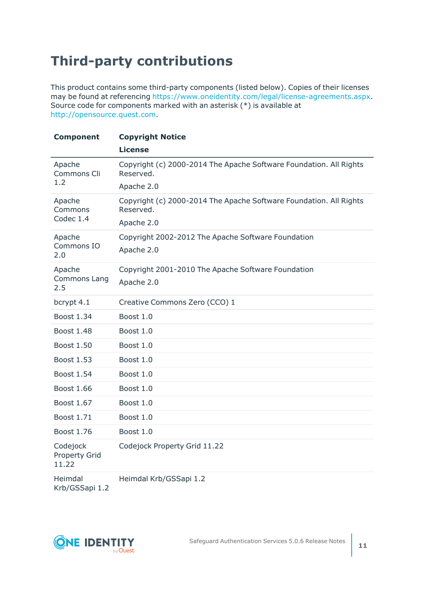### **Third-party contributions**

This product contains some third-party components (listed below). Copies of their licenses may be found at referencing <https://www.oneidentity.com/legal/license-agreements.aspx>. Source code for components marked with an asterisk (\*) is available at [http://opensource.quest.com.](http://opensource.quest.com/)

| <b>Component</b>                          | <b>Copyright Notice</b>                                                         |
|-------------------------------------------|---------------------------------------------------------------------------------|
|                                           | <b>License</b>                                                                  |
| Apache<br>Commons Cli<br>1.2              | Copyright (c) 2000-2014 The Apache Software Foundation. All Rights<br>Reserved. |
|                                           | Apache 2.0                                                                      |
| Apache<br>Commons<br>Codec 1.4            | Copyright (c) 2000-2014 The Apache Software Foundation. All Rights<br>Reserved. |
|                                           | Apache 2.0                                                                      |
| Apache<br>Commons IO<br>2.0               | Copyright 2002-2012 The Apache Software Foundation<br>Apache 2.0                |
| Apache<br>Commons Lang<br>2.5             | Copyright 2001-2010 The Apache Software Foundation<br>Apache 2.0                |
| bcrypt 4.1                                | Creative Commons Zero (CCO) 1                                                   |
| Boost 1.34                                | Boost 1.0                                                                       |
| <b>Boost 1.48</b>                         | Boost 1.0                                                                       |
| <b>Boost 1.50</b>                         | Boost 1.0                                                                       |
| Boost 1.53                                | Boost 1.0                                                                       |
| Boost 1.54                                | Boost 1.0                                                                       |
| Boost 1.66                                | Boost 1.0                                                                       |
| Boost 1.67                                | Boost 1.0                                                                       |
| Boost 1.71                                | Boost 1.0                                                                       |
| Boost 1.76                                | Boost 1.0                                                                       |
| Codejock<br><b>Property Grid</b><br>11.22 | Codejock Property Grid 11.22                                                    |
| Heimdal<br>Krb/GSSapi 1.2                 | Heimdal Krb/GSSapi 1.2                                                          |

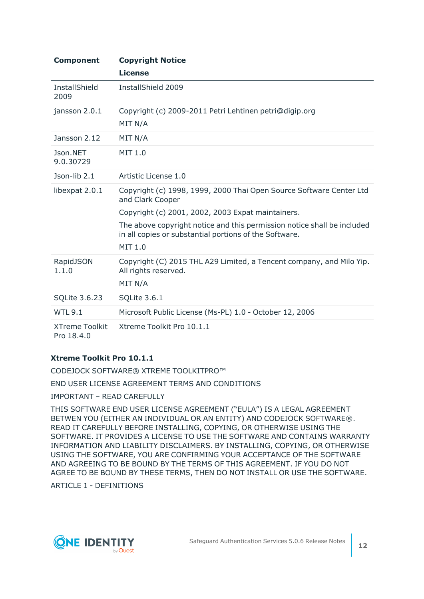| <b>Component</b>          | <b>Copyright Notice</b>                                                                                                           |
|---------------------------|-----------------------------------------------------------------------------------------------------------------------------------|
|                           | <b>License</b>                                                                                                                    |
| InstallShield<br>2009     | InstallShield 2009                                                                                                                |
| jansson 2.0.1             | Copyright (c) 2009-2011 Petri Lehtinen petri@digip.org<br>MIT N/A                                                                 |
| Jansson 2.12              | MIT N/A                                                                                                                           |
| Json.NET<br>9.0.30729     | <b>MIT 1.0</b>                                                                                                                    |
| Json-lib 2.1              | Artistic License 1.0                                                                                                              |
| libexpat 2.0.1            | Copyright (c) 1998, 1999, 2000 Thai Open Source Software Center Ltd<br>and Clark Cooper                                           |
|                           | Copyright (c) 2001, 2002, 2003 Expat maintainers.                                                                                 |
|                           | The above copyright notice and this permission notice shall be included<br>in all copies or substantial portions of the Software. |
|                           | MIT 1.0                                                                                                                           |
| <b>RapidJSON</b><br>1.1.0 | Copyright (C) 2015 THL A29 Limited, a Tencent company, and Milo Yip.<br>All rights reserved.<br>MIT N/A                           |
| <b>SQLite 3.6.23</b>      | SQLite 3.6.1                                                                                                                      |
| <b>WTL 9.1</b>            | Microsoft Public License (Ms-PL) 1.0 - October 12, 2006                                                                           |
| <b>XTreme Toolkit</b>     | Xtreme Toolkit Pro 10.1.1                                                                                                         |
| Pro 18.4.0                |                                                                                                                                   |

#### **Xtreme Toolkit Pro 10.1.1**

CODEJOCK SOFTWARE® XTREME TOOLKITPRO™

END USER LICENSE AGREEMENT TERMS AND CONDITIONS

IMPORTANT – READ CAREFULLY

THIS SOFTWARE END USER LICENSE AGREEMENT ("EULA") IS A LEGAL AGREEMENT BETWEN YOU (EITHER AN INDIVIDUAL OR AN ENTITY) AND CODEJOCK SOFTWARE®. READ IT CAREFULLY BEFORE INSTALLING, COPYING, OR OTHERWISE USING THE SOFTWARE. IT PROVIDES A LICENSE TO USE THE SOFTWARE AND CONTAINS WARRANTY INFORMATION AND LIABILITY DISCLAIMERS. BY INSTALLING, COPYING, OR OTHERWISE USING THE SOFTWARE, YOU ARE CONFIRMING YOUR ACCEPTANCE OF THE SOFTWARE AND AGREEING TO BE BOUND BY THE TERMS OF THIS AGREEMENT. IF YOU DO NOT AGREE TO BE BOUND BY THESE TERMS, THEN DO NOT INSTALL OR USE THE SOFTWARE.

ARTICLE 1 - DEFINITIONS

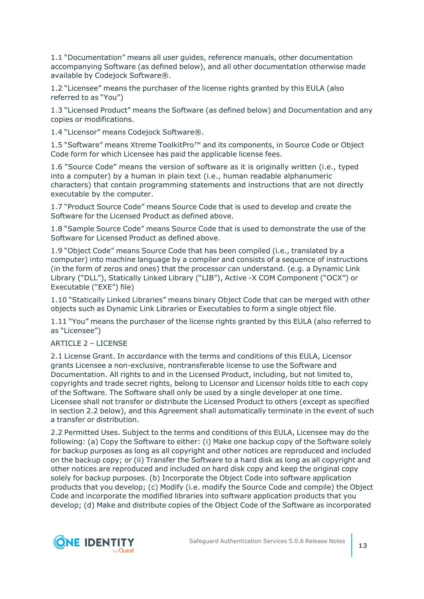1.1 "Documentation" means all user guides, reference manuals, other documentation accompanying Software (as defined below), and all other documentation otherwise made available by Codejock Software®.

1.2 "Licensee" means the purchaser of the license rights granted by this EULA (also referred to as "You")

1.3 "Licensed Product" means the Software (as defined below) and Documentation and any copies or modifications.

1.4 "Licensor" means Codejock Software®.

1.5 "Software" means Xtreme ToolkitPro™ and its components, in Source Code or Object Code form for which Licensee has paid the applicable license fees.

1.6 "Source Code" means the version of software as it is originally written (i.e., typed into a computer) by a human in plain text (i.e., human readable alphanumeric characters) that contain programming statements and instructions that are not directly executable by the computer.

1.7 "Product Source Code" means Source Code that is used to develop and create the Software for the Licensed Product as defined above.

1.8 "Sample Source Code" means Source Code that is used to demonstrate the use of the Software for Licensed Product as defined above.

1.9 "Object Code" means Source Code that has been compiled (i.e., translated by a computer) into machine language by a compiler and consists of a sequence of instructions (in the form of zeros and ones) that the processor can understand. (e.g. a Dynamic Link Library ("DLL"), Statically Linked Library ("LIB"), Active -X COM Component ("OCX") or Executable ("EXE") file)

1.10 "Statically Linked Libraries" means binary Object Code that can be merged with other objects such as Dynamic Link Libraries or Executables to form a single object file.

1.11 "You" means the purchaser of the license rights granted by this EULA (also referred to as "Licensee")

#### ARTICLE 2 – LICENSE

2.1 License Grant. In accordance with the terms and conditions of this EULA, Licensor grants Licensee a non-exclusive, nontransferable license to use the Software and Documentation. All rights to and in the Licensed Product, including, but not limited to, copyrights and trade secret rights, belong to Licensor and Licensor holds title to each copy of the Software. The Software shall only be used by a single developer at one time. Licensee shall not transfer or distribute the Licensed Product to others (except as specified in section 2.2 below), and this Agreement shall automatically terminate in the event of such a transfer or distribution.

2.2 Permitted Uses. Subject to the terms and conditions of this EULA, Licensee may do the following: (a) Copy the Software to either: (i) Make one backup copy of the Software solely for backup purposes as long as all copyright and other notices are reproduced and included on the backup copy; or (ii) Transfer the Software to a hard disk as long as all copyright and other notices are reproduced and included on hard disk copy and keep the original copy solely for backup purposes. (b) Incorporate the Object Code into software application products that you develop; (c) Modify (i.e. modify the Source Code and compile) the Object Code and incorporate the modified libraries into software application products that you develop; (d) Make and distribute copies of the Object Code of the Software as incorporated

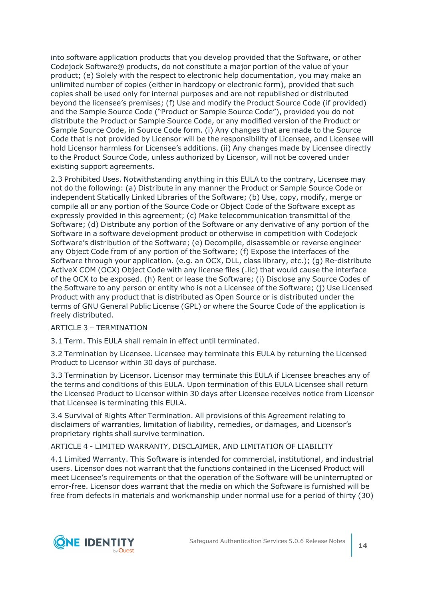into software application products that you develop provided that the Software, or other Codejock Software® products, do not constitute a major portion of the value of your product; (e) Solely with the respect to electronic help documentation, you may make an unlimited number of copies (either in hardcopy or electronic form), provided that such copies shall be used only for internal purposes and are not republished or distributed beyond the licensee's premises; (f) Use and modify the Product Source Code (if provided) and the Sample Source Code ("Product or Sample Source Code"), provided you do not distribute the Product or Sample Source Code, or any modified version of the Product or Sample Source Code, in Source Code form. (i) Any changes that are made to the Source Code that is not provided by Licensor will be the responsibility of Licensee, and Licensee will hold Licensor harmless for Licensee's additions. (ii) Any changes made by Licensee directly to the Product Source Code, unless authorized by Licensor, will not be covered under existing support agreements.

2.3 Prohibited Uses. Notwithstanding anything in this EULA to the contrary, Licensee may not do the following: (a) Distribute in any manner the Product or Sample Source Code or independent Statically Linked Libraries of the Software; (b) Use, copy, modify, merge or compile all or any portion of the Source Code or Object Code of the Software except as expressly provided in this agreement; (c) Make telecommunication transmittal of the Software; (d) Distribute any portion of the Software or any derivative of any portion of the Software in a software development product or otherwise in competition with Codejock Software's distribution of the Software; (e) Decompile, disassemble or reverse engineer any Object Code from of any portion of the Software; (f) Expose the interfaces of the Software through your application. (e.g. an OCX, DLL, class library, etc.); (g) Re-distribute ActiveX COM (OCX) Object Code with any license files (.lic) that would cause the interface of the OCX to be exposed. (h) Rent or lease the Software; (i) Disclose any Source Codes of the Software to any person or entity who is not a Licensee of the Software; (j) Use Licensed Product with any product that is distributed as Open Source or is distributed under the terms of GNU General Public License (GPL) or where the Source Code of the application is freely distributed.

#### ARTICLE 3 – TERMINATION

3.1 Term. This EULA shall remain in effect until terminated.

3.2 Termination by Licensee. Licensee may terminate this EULA by returning the Licensed Product to Licensor within 30 days of purchase.

3.3 Termination by Licensor. Licensor may terminate this EULA if Licensee breaches any of the terms and conditions of this EULA. Upon termination of this EULA Licensee shall return the Licensed Product to Licensor within 30 days after Licensee receives notice from Licensor that Licensee is terminating this EULA.

3.4 Survival of Rights After Termination. All provisions of this Agreement relating to disclaimers of warranties, limitation of liability, remedies, or damages, and Licensor's proprietary rights shall survive termination.

#### ARTICLE 4 - LIMITED WARRANTY, DISCLAIMER, AND LIMITATION OF LIABILITY

4.1 Limited Warranty. This Software is intended for commercial, institutional, and industrial users. Licensor does not warrant that the functions contained in the Licensed Product will meet Licensee's requirements or that the operation of the Software will be uninterrupted or error-free. Licensor does warrant that the media on which the Software is furnished will be free from defects in materials and workmanship under normal use for a period of thirty (30)

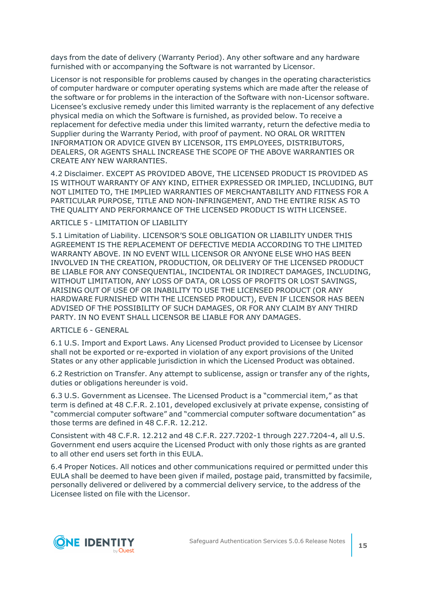days from the date of delivery (Warranty Period). Any other software and any hardware furnished with or accompanying the Software is not warranted by Licensor.

Licensor is not responsible for problems caused by changes in the operating characteristics of computer hardware or computer operating systems which are made after the release of the software or for problems in the interaction of the Software with non-Licensor software. Licensee's exclusive remedy under this limited warranty is the replacement of any defective physical media on which the Software is furnished, as provided below. To receive a replacement for defective media under this limited warranty, return the defective media to Supplier during the Warranty Period, with proof of payment. NO ORAL OR WRITTEN INFORMATION OR ADVICE GIVEN BY LICENSOR, ITS EMPLOYEES, DISTRIBUTORS, DEALERS, OR AGENTS SHALL INCREASE THE SCOPE OF THE ABOVE WARRANTIES OR CREATE ANY NEW WARRANTIES.

4.2 Disclaimer. EXCEPT AS PROVIDED ABOVE, THE LICENSED PRODUCT IS PROVIDED AS IS WITHOUT WARRANTY OF ANY KIND, EITHER EXPRESSED OR IMPLIED, INCLUDING, BUT NOT LIMITED TO, THE IMPLIED WARRANTIES OF MERCHANTABILITY AND FITNESS FOR A PARTICULAR PURPOSE, TITLE AND NON-INFRINGEMENT, AND THE ENTIRE RISK AS TO THE QUALITY AND PERFORMANCE OF THE LICENSED PRODUCT IS WITH LICENSEE.

ARTICLE 5 - LIMITATION OF LIABILITY

5.1 Limitation of Liability. LICENSOR'S SOLE OBLIGATION OR LIABILITY UNDER THIS AGREEMENT IS THE REPLACEMENT OF DEFECTIVE MEDIA ACCORDING TO THE LIMITED WARRANTY ABOVE. IN NO EVENT WILL LICENSOR OR ANYONE ELSE WHO HAS BEEN INVOLVED IN THE CREATION, PRODUCTION, OR DELIVERY OF THE LICENSED PRODUCT BE LIABLE FOR ANY CONSEQUENTIAL, INCIDENTAL OR INDIRECT DAMAGES, INCLUDING, WITHOUT LIMITATION, ANY LOSS OF DATA, OR LOSS OF PROFITS OR LOST SAVINGS, ARISING OUT OF USE OF OR INABILITY TO USE THE LICENSED PRODUCT (OR ANY HARDWARE FURNISHED WITH THE LICENSED PRODUCT), EVEN IF LICENSOR HAS BEEN ADVISED OF THE POSSIBILITY OF SUCH DAMAGES, OR FOR ANY CLAIM BY ANY THIRD PARTY. IN NO EVENT SHALL LICENSOR BE LIABLE FOR ANY DAMAGES.

#### ARTICLE 6 - GENERAL

6.1 U.S. Import and Export Laws. Any Licensed Product provided to Licensee by Licensor shall not be exported or re-exported in violation of any export provisions of the United States or any other applicable jurisdiction in which the Licensed Product was obtained.

6.2 Restriction on Transfer. Any attempt to sublicense, assign or transfer any of the rights, duties or obligations hereunder is void.

6.3 U.S. Government as Licensee. The Licensed Product is a "commercial item," as that term is defined at 48 C.F.R. 2.101, developed exclusively at private expense, consisting of "commercial computer software" and "commercial computer software documentation" as those terms are defined in 48 C.F.R. 12.212.

Consistent with 48 C.F.R. 12.212 and 48 C.F.R. 227.7202-1 through 227.7204-4, all U.S. Government end users acquire the Licensed Product with only those rights as are granted to all other end users set forth in this EULA.

6.4 Proper Notices. All notices and other communications required or permitted under this EULA shall be deemed to have been given if mailed, postage paid, transmitted by facsimile, personally delivered or delivered by a commercial delivery service, to the address of the Licensee listed on file with the Licensor.

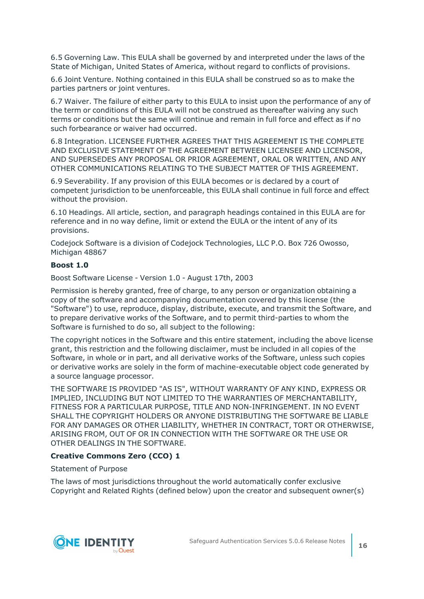6.5 Governing Law. This EULA shall be governed by and interpreted under the laws of the State of Michigan, United States of America, without regard to conflicts of provisions.

6.6 Joint Venture. Nothing contained in this EULA shall be construed so as to make the parties partners or joint ventures.

6.7 Waiver. The failure of either party to this EULA to insist upon the performance of any of the term or conditions of this EULA will not be construed as thereafter waiving any such terms or conditions but the same will continue and remain in full force and effect as if no such forbearance or waiver had occurred.

6.8 Integration. LICENSEE FURTHER AGREES THAT THIS AGREEMENT IS THE COMPLETE AND EXCLUSIVE STATEMENT OF THE AGREEMENT BETWEEN LICENSEE AND LICENSOR, AND SUPERSEDES ANY PROPOSAL OR PRIOR AGREEMENT, ORAL OR WRITTEN, AND ANY OTHER COMMUNICATIONS RELATING TO THE SUBJECT MATTER OF THIS AGREEMENT.

6.9 Severability. If any provision of this EULA becomes or is declared by a court of competent jurisdiction to be unenforceable, this EULA shall continue in full force and effect without the provision.

6.10 Headings. All article, section, and paragraph headings contained in this EULA are for reference and in no way define, limit or extend the EULA or the intent of any of its provisions.

Codejock Software is a division of Codejock Technologies, LLC P.O. Box 726 Owosso, Michigan 48867

#### **Boost 1.0**

Boost Software License - Version 1.0 - August 17th, 2003

Permission is hereby granted, free of charge, to any person or organization obtaining a copy of the software and accompanying documentation covered by this license (the "Software") to use, reproduce, display, distribute, execute, and transmit the Software, and to prepare derivative works of the Software, and to permit third-parties to whom the Software is furnished to do so, all subject to the following:

The copyright notices in the Software and this entire statement, including the above license grant, this restriction and the following disclaimer, must be included in all copies of the Software, in whole or in part, and all derivative works of the Software, unless such copies or derivative works are solely in the form of machine-executable object code generated by a source language processor.

THE SOFTWARE IS PROVIDED "AS IS", WITHOUT WARRANTY OF ANY KIND, EXPRESS OR IMPLIED, INCLUDING BUT NOT LIMITED TO THE WARRANTIES OF MERCHANTABILITY, FITNESS FOR A PARTICULAR PURPOSE, TITLE AND NON-INFRINGEMENT. IN NO EVENT SHALL THE COPYRIGHT HOLDERS OR ANYONE DISTRIBUTING THE SOFTWARE BE LIABLE FOR ANY DAMAGES OR OTHER LIABILITY, WHETHER IN CONTRACT, TORT OR OTHERWISE, ARISING FROM, OUT OF OR IN CONNECTION WITH THE SOFTWARE OR THE USE OR OTHER DEALINGS IN THE SOFTWARE.

#### **Creative Commons Zero (CCO) 1**

#### Statement of Purpose

The laws of most jurisdictions throughout the world automatically confer exclusive Copyright and Related Rights (defined below) upon the creator and subsequent owner(s)

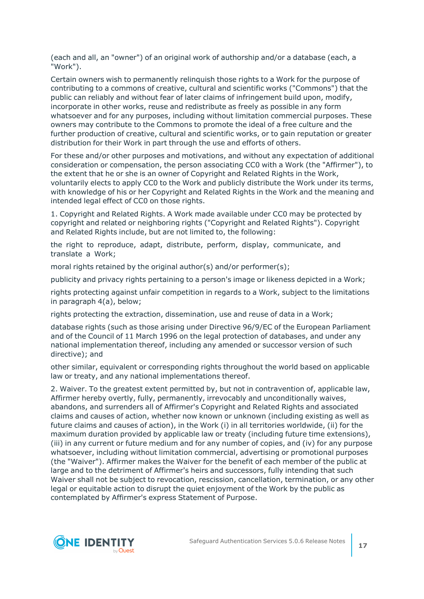(each and all, an "owner") of an original work of authorship and/or a database (each, a "Work").

Certain owners wish to permanently relinquish those rights to a Work for the purpose of contributing to a commons of creative, cultural and scientific works ("Commons") that the public can reliably and without fear of later claims of infringement build upon, modify, incorporate in other works, reuse and redistribute as freely as possible in any form whatsoever and for any purposes, including without limitation commercial purposes. These owners may contribute to the Commons to promote the ideal of a free culture and the further production of creative, cultural and scientific works, or to gain reputation or greater distribution for their Work in part through the use and efforts of others.

For these and/or other purposes and motivations, and without any expectation of additional consideration or compensation, the person associating CC0 with a Work (the "Affirmer"), to the extent that he or she is an owner of Copyright and Related Rights in the Work, voluntarily elects to apply CC0 to the Work and publicly distribute the Work under its terms, with knowledge of his or her Copyright and Related Rights in the Work and the meaning and intended legal effect of CC0 on those rights.

1. Copyright and Related Rights. A Work made available under CC0 may be protected by copyright and related or neighboring rights ("Copyright and Related Rights"). Copyright and Related Rights include, but are not limited to, the following:

the right to reproduce, adapt, distribute, perform, display, communicate, and translate a Work;

moral rights retained by the original author(s) and/or performer(s);

publicity and privacy rights pertaining to a person's image or likeness depicted in a Work;

rights protecting against unfair competition in regards to a Work, subject to the limitations in paragraph 4(a), below;

rights protecting the extraction, dissemination, use and reuse of data in a Work;

database rights (such as those arising under Directive 96/9/EC of the European Parliament and of the Council of 11 March 1996 on the legal protection of databases, and under any national implementation thereof, including any amended or successor version of such directive); and

other similar, equivalent or corresponding rights throughout the world based on applicable law or treaty, and any national implementations thereof.

2. Waiver. To the greatest extent permitted by, but not in contravention of, applicable law, Affirmer hereby overtly, fully, permanently, irrevocably and unconditionally waives, abandons, and surrenders all of Affirmer's Copyright and Related Rights and associated claims and causes of action, whether now known or unknown (including existing as well as future claims and causes of action), in the Work (i) in all territories worldwide, (ii) for the maximum duration provided by applicable law or treaty (including future time extensions), (iii) in any current or future medium and for any number of copies, and (iv) for any purpose whatsoever, including without limitation commercial, advertising or promotional purposes (the "Waiver"). Affirmer makes the Waiver for the benefit of each member of the public at large and to the detriment of Affirmer's heirs and successors, fully intending that such Waiver shall not be subject to revocation, rescission, cancellation, termination, or any other legal or equitable action to disrupt the quiet enjoyment of the Work by the public as contemplated by Affirmer's express Statement of Purpose.

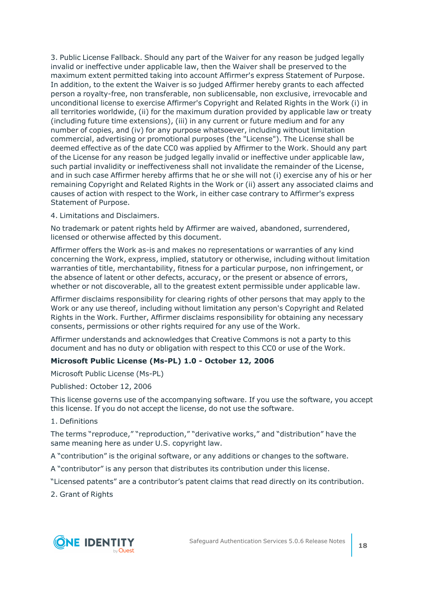3. Public License Fallback. Should any part of the Waiver for any reason be judged legally invalid or ineffective under applicable law, then the Waiver shall be preserved to the maximum extent permitted taking into account Affirmer's express Statement of Purpose. In addition, to the extent the Waiver is so judged Affirmer hereby grants to each affected person a royalty-free, non transferable, non sublicensable, non exclusive, irrevocable and unconditional license to exercise Affirmer's Copyright and Related Rights in the Work (i) in all territories worldwide, (ii) for the maximum duration provided by applicable law or treaty (including future time extensions), (iii) in any current or future medium and for any number of copies, and (iv) for any purpose whatsoever, including without limitation commercial, advertising or promotional purposes (the "License"). The License shall be deemed effective as of the date CC0 was applied by Affirmer to the Work. Should any part of the License for any reason be judged legally invalid or ineffective under applicable law, such partial invalidity or ineffectiveness shall not invalidate the remainder of the License, and in such case Affirmer hereby affirms that he or she will not (i) exercise any of his or her remaining Copyright and Related Rights in the Work or (ii) assert any associated claims and causes of action with respect to the Work, in either case contrary to Affirmer's express Statement of Purpose.

4. Limitations and Disclaimers.

No trademark or patent rights held by Affirmer are waived, abandoned, surrendered, licensed or otherwise affected by this document.

Affirmer offers the Work as-is and makes no representations or warranties of any kind concerning the Work, express, implied, statutory or otherwise, including without limitation warranties of title, merchantability, fitness for a particular purpose, non infringement, or the absence of latent or other defects, accuracy, or the present or absence of errors, whether or not discoverable, all to the greatest extent permissible under applicable law.

Affirmer disclaims responsibility for clearing rights of other persons that may apply to the Work or any use thereof, including without limitation any person's Copyright and Related Rights in the Work. Further, Affirmer disclaims responsibility for obtaining any necessary consents, permissions or other rights required for any use of the Work.

Affirmer understands and acknowledges that Creative Commons is not a party to this document and has no duty or obligation with respect to this CC0 or use of the Work.

#### **Microsoft Public License (Ms-PL) 1.0 - October 12, 2006**

Microsoft Public License (Ms-PL)

Published: October 12, 2006

This license governs use of the accompanying software. If you use the software, you accept this license. If you do not accept the license, do not use the software.

1. Definitions

The terms "reproduce," "reproduction," "derivative works," and "distribution" have the same meaning here as under U.S. copyright law.

A "contribution" is the original software, or any additions or changes to the software.

A "contributor" is any person that distributes its contribution under this license.

"Licensed patents" are a contributor's patent claims that read directly on its contribution.

2. Grant of Rights

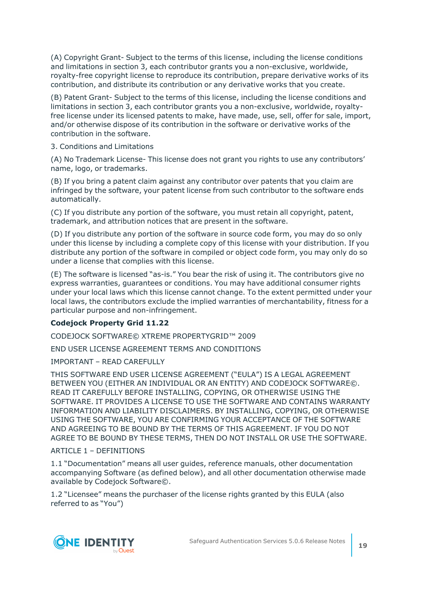(A) Copyright Grant- Subject to the terms of this license, including the license conditions and limitations in section 3, each contributor grants you a non-exclusive, worldwide, royalty-free copyright license to reproduce its contribution, prepare derivative works of its contribution, and distribute its contribution or any derivative works that you create.

(B) Patent Grant- Subject to the terms of this license, including the license conditions and limitations in section 3, each contributor grants you a non-exclusive, worldwide, royaltyfree license under its licensed patents to make, have made, use, sell, offer for sale, import, and/or otherwise dispose of its contribution in the software or derivative works of the contribution in the software.

#### 3. Conditions and Limitations

(A) No Trademark License- This license does not grant you rights to use any contributors' name, logo, or trademarks.

(B) If you bring a patent claim against any contributor over patents that you claim are infringed by the software, your patent license from such contributor to the software ends automatically.

(C) If you distribute any portion of the software, you must retain all copyright, patent, trademark, and attribution notices that are present in the software.

(D) If you distribute any portion of the software in source code form, you may do so only under this license by including a complete copy of this license with your distribution. If you distribute any portion of the software in compiled or object code form, you may only do so under a license that complies with this license.

(E) The software is licensed "as-is." You bear the risk of using it. The contributors give no express warranties, guarantees or conditions. You may have additional consumer rights under your local laws which this license cannot change. To the extent permitted under your local laws, the contributors exclude the implied warranties of merchantability, fitness for a particular purpose and non-infringement.

#### **Codejock Property Grid 11.22**

CODEJOCK SOFTWARE© XTREME PROPERTYGRID™ 2009

END USER LICENSE AGREEMENT TERMS AND CONDITIONS

IMPORTANT – READ CAREFULLY

THIS SOFTWARE END USER LICENSE AGREEMENT ("EULA") IS A LEGAL AGREEMENT BETWEEN YOU (EITHER AN INDIVIDUAL OR AN ENTITY) AND CODEJOCK SOFTWARE©. READ IT CAREFULLY BEFORE INSTALLING, COPYING, OR OTHERWISE USING THE SOFTWARE. IT PROVIDES A LICENSE TO USE THE SOFTWARE AND CONTAINS WARRANTY INFORMATION AND LIABILITY DISCLAIMERS. BY INSTALLING, COPYING, OR OTHERWISE USING THE SOFTWARE, YOU ARE CONFIRMING YOUR ACCEPTANCE OF THE SOFTWARE AND AGREEING TO BE BOUND BY THE TERMS OF THIS AGREEMENT. IF YOU DO NOT AGREE TO BE BOUND BY THESE TERMS, THEN DO NOT INSTALL OR USE THE SOFTWARE.

#### ARTICLE 1 – DEFINITIONS

1.1 "Documentation" means all user guides, reference manuals, other documentation accompanying Software (as defined below), and all other documentation otherwise made available by Codejock Software©.

1.2 "Licensee" means the purchaser of the license rights granted by this EULA (also referred to as "You")

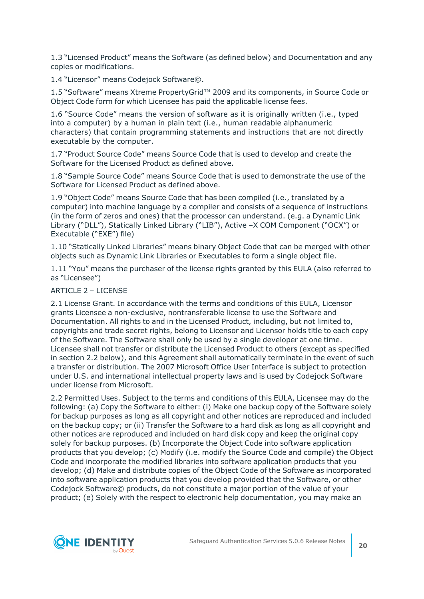1.3 "Licensed Product" means the Software (as defined below) and Documentation and any copies or modifications.

1.4 "Licensor" means Codejock Software©.

1.5 "Software" means Xtreme PropertyGrid™ 2009 and its components, in Source Code or Object Code form for which Licensee has paid the applicable license fees.

1.6 "Source Code" means the version of software as it is originally written (i.e., typed into a computer) by a human in plain text (i.e., human readable alphanumeric characters) that contain programming statements and instructions that are not directly executable by the computer.

1.7 "Product Source Code" means Source Code that is used to develop and create the Software for the Licensed Product as defined above.

1.8 "Sample Source Code" means Source Code that is used to demonstrate the use of the Software for Licensed Product as defined above.

1.9 "Object Code" means Source Code that has been compiled (i.e., translated by a computer) into machine language by a compiler and consists of a sequence of instructions (in the form of zeros and ones) that the processor can understand. (e.g. a Dynamic Link Library ("DLL"), Statically Linked Library ("LIB"), Active –X COM Component ("OCX") or Executable ("EXE") file)

1.10 "Statically Linked Libraries" means binary Object Code that can be merged with other objects such as Dynamic Link Libraries or Executables to form a single object file.

1.11 "You" means the purchaser of the license rights granted by this EULA (also referred to as "Licensee")

#### ARTICLE 2 – LICENSE

2.1 License Grant. In accordance with the terms and conditions of this EULA, Licensor grants Licensee a non-exclusive, nontransferable license to use the Software and Documentation. All rights to and in the Licensed Product, including, but not limited to, copyrights and trade secret rights, belong to Licensor and Licensor holds title to each copy of the Software. The Software shall only be used by a single developer at one time. Licensee shall not transfer or distribute the Licensed Product to others (except as specified in section 2.2 below), and this Agreement shall automatically terminate in the event of such a transfer or distribution. The 2007 Microsoft Office User Interface is subject to protection under U.S. and international intellectual property laws and is used by Codejock Software under license from Microsoft.

2.2 Permitted Uses. Subject to the terms and conditions of this EULA, Licensee may do the following: (a) Copy the Software to either: (i) Make one backup copy of the Software solely for backup purposes as long as all copyright and other notices are reproduced and included on the backup copy; or (ii) Transfer the Software to a hard disk as long as all copyright and other notices are reproduced and included on hard disk copy and keep the original copy solely for backup purposes. (b) Incorporate the Object Code into software application products that you develop; (c) Modify (i.e. modify the Source Code and compile) the Object Code and incorporate the modified libraries into software application products that you develop; (d) Make and distribute copies of the Object Code of the Software as incorporated into software application products that you develop provided that the Software, or other Codejock Software© products, do not constitute a major portion of the value of your product; (e) Solely with the respect to electronic help documentation, you may make an

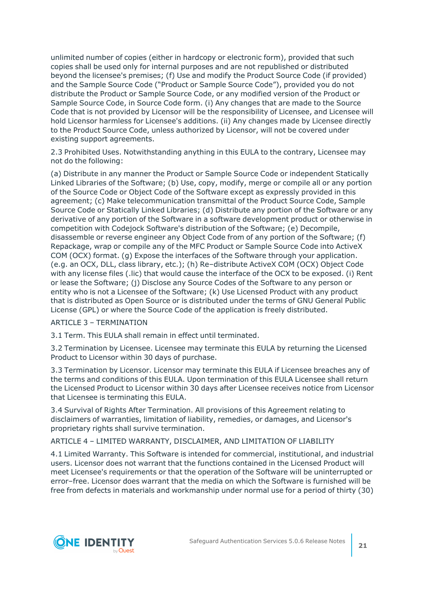unlimited number of copies (either in hardcopy or electronic form), provided that such copies shall be used only for internal purposes and are not republished or distributed beyond the licensee's premises; (f) Use and modify the Product Source Code (if provided) and the Sample Source Code ("Product or Sample Source Code"), provided you do not distribute the Product or Sample Source Code, or any modified version of the Product or Sample Source Code, in Source Code form. (i) Any changes that are made to the Source Code that is not provided by Licensor will be the responsibility of Licensee, and Licensee will hold Licensor harmless for Licensee's additions. (ii) Any changes made by Licensee directly to the Product Source Code, unless authorized by Licensor, will not be covered under existing support agreements.

2.3 Prohibited Uses. Notwithstanding anything in this EULA to the contrary, Licensee may not do the following:

(a) Distribute in any manner the Product or Sample Source Code or independent Statically Linked Libraries of the Software; (b) Use, copy, modify, merge or compile all or any portion of the Source Code or Object Code of the Software except as expressly provided in this agreement; (c) Make telecommunication transmittal of the Product Source Code, Sample Source Code or Statically Linked Libraries; (d) Distribute any portion of the Software or any derivative of any portion of the Software in a software development product or otherwise in competition with Codejock Software's distribution of the Software; (e) Decompile, disassemble or reverse engineer any Object Code from of any portion of the Software; (f) Repackage, wrap or compile any of the MFC Product or Sample Source Code into ActiveX COM (OCX) format. (g) Expose the interfaces of the Software through your application. (e.g. an OCX, DLL, class library, etc.); (h) Re–distribute ActiveX COM (OCX) Object Code with any license files (.lic) that would cause the interface of the OCX to be exposed. (i) Rent or lease the Software; (j) Disclose any Source Codes of the Software to any person or entity who is not a Licensee of the Software; (k) Use Licensed Product with any product that is distributed as Open Source or is distributed under the terms of GNU General Public License (GPL) or where the Source Code of the application is freely distributed.

#### ARTICLE 3 – TERMINATION

3.1 Term. This EULA shall remain in effect until terminated.

3.2 Termination by Licensee. Licensee may terminate this EULA by returning the Licensed Product to Licensor within 30 days of purchase.

3.3 Termination by Licensor. Licensor may terminate this EULA if Licensee breaches any of the terms and conditions of this EULA. Upon termination of this EULA Licensee shall return the Licensed Product to Licensor within 30 days after Licensee receives notice from Licensor that Licensee is terminating this EULA.

3.4 Survival of Rights After Termination. All provisions of this Agreement relating to disclaimers of warranties, limitation of liability, remedies, or damages, and Licensor's proprietary rights shall survive termination.

#### ARTICLE 4 – LIMITED WARRANTY, DISCLAIMER, AND LIMITATION OF LIABILITY

4.1 Limited Warranty. This Software is intended for commercial, institutional, and industrial users. Licensor does not warrant that the functions contained in the Licensed Product will meet Licensee's requirements or that the operation of the Software will be uninterrupted or error–free. Licensor does warrant that the media on which the Software is furnished will be free from defects in materials and workmanship under normal use for a period of thirty (30)

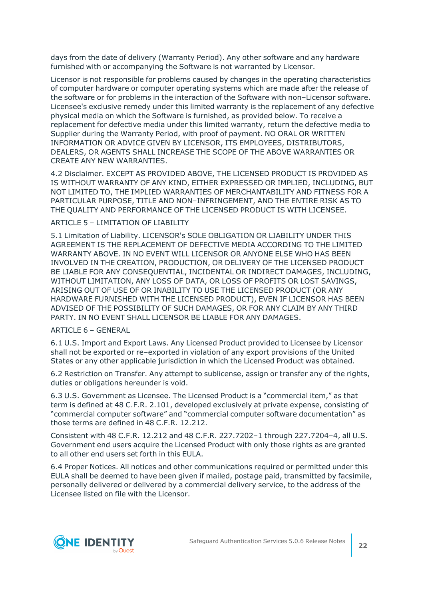days from the date of delivery (Warranty Period). Any other software and any hardware furnished with or accompanying the Software is not warranted by Licensor.

Licensor is not responsible for problems caused by changes in the operating characteristics of computer hardware or computer operating systems which are made after the release of the software or for problems in the interaction of the Software with non–Licensor software. Licensee's exclusive remedy under this limited warranty is the replacement of any defective physical media on which the Software is furnished, as provided below. To receive a replacement for defective media under this limited warranty, return the defective media to Supplier during the Warranty Period, with proof of payment. NO ORAL OR WRITTEN INFORMATION OR ADVICE GIVEN BY LICENSOR, ITS EMPLOYEES, DISTRIBUTORS, DEALERS, OR AGENTS SHALL INCREASE THE SCOPE OF THE ABOVE WARRANTIES OR CREATE ANY NEW WARRANTIES.

4.2 Disclaimer. EXCEPT AS PROVIDED ABOVE, THE LICENSED PRODUCT IS PROVIDED AS IS WITHOUT WARRANTY OF ANY KIND, EITHER EXPRESSED OR IMPLIED, INCLUDING, BUT NOT LIMITED TO, THE IMPLIED WARRANTIES OF MERCHANTABILITY AND FITNESS FOR A PARTICULAR PURPOSE, TITLE AND NON–INFRINGEMENT, AND THE ENTIRE RISK AS TO THE QUALITY AND PERFORMANCE OF THE LICENSED PRODUCT IS WITH LICENSEE.

ARTICLE 5 – LIMITATION OF LIABILITY

5.1 Limitation of Liability. LICENSOR's SOLE OBLIGATION OR LIABILITY UNDER THIS AGREEMENT IS THE REPLACEMENT OF DEFECTIVE MEDIA ACCORDING TO THE LIMITED WARRANTY ABOVE. IN NO EVENT WILL LICENSOR OR ANYONE ELSE WHO HAS BEEN INVOLVED IN THE CREATION, PRODUCTION, OR DELIVERY OF THE LICENSED PRODUCT BE LIABLE FOR ANY CONSEQUENTIAL, INCIDENTAL OR INDIRECT DAMAGES, INCLUDING, WITHOUT LIMITATION, ANY LOSS OF DATA, OR LOSS OF PROFITS OR LOST SAVINGS, ARISING OUT OF USE OF OR INABILITY TO USE THE LICENSED PRODUCT (OR ANY HARDWARE FURNISHED WITH THE LICENSED PRODUCT), EVEN IF LICENSOR HAS BEEN ADVISED OF THE POSSIBILITY OF SUCH DAMAGES, OR FOR ANY CLAIM BY ANY THIRD PARTY. IN NO EVENT SHALL LICENSOR BE LIABLE FOR ANY DAMAGES.

#### ARTICLE 6 – GENERAL

6.1 U.S. Import and Export Laws. Any Licensed Product provided to Licensee by Licensor shall not be exported or re–exported in violation of any export provisions of the United States or any other applicable jurisdiction in which the Licensed Product was obtained.

6.2 Restriction on Transfer. Any attempt to sublicense, assign or transfer any of the rights, duties or obligations hereunder is void.

6.3 U.S. Government as Licensee. The Licensed Product is a "commercial item," as that term is defined at 48 C.F.R. 2.101, developed exclusively at private expense, consisting of "commercial computer software" and "commercial computer software documentation" as those terms are defined in 48 C.F.R. 12.212.

Consistent with 48 C.F.R. 12.212 and 48 C.F.R. 227.7202–1 through 227.7204–4, all U.S. Government end users acquire the Licensed Product with only those rights as are granted to all other end users set forth in this EULA.

6.4 Proper Notices. All notices and other communications required or permitted under this EULA shall be deemed to have been given if mailed, postage paid, transmitted by facsimile, personally delivered or delivered by a commercial delivery service, to the address of the Licensee listed on file with the Licensor.

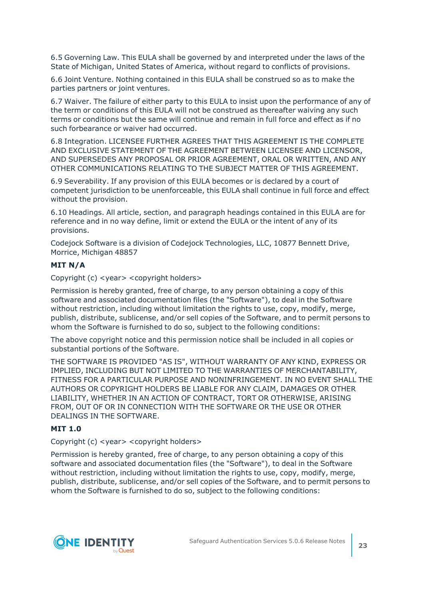6.5 Governing Law. This EULA shall be governed by and interpreted under the laws of the State of Michigan, United States of America, without regard to conflicts of provisions.

6.6 Joint Venture. Nothing contained in this EULA shall be construed so as to make the parties partners or joint ventures.

6.7 Waiver. The failure of either party to this EULA to insist upon the performance of any of the term or conditions of this EULA will not be construed as thereafter waiving any such terms or conditions but the same will continue and remain in full force and effect as if no such forbearance or waiver had occurred.

6.8 Integration. LICENSEE FURTHER AGREES THAT THIS AGREEMENT IS THE COMPLETE AND EXCLUSIVE STATEMENT OF THE AGREEMENT BETWEEN LICENSEE AND LICENSOR, AND SUPERSEDES ANY PROPOSAL OR PRIOR AGREEMENT, ORAL OR WRITTEN, AND ANY OTHER COMMUNICATIONS RELATING TO THE SUBJECT MATTER OF THIS AGREEMENT.

6.9 Severability. If any provision of this EULA becomes or is declared by a court of competent jurisdiction to be unenforceable, this EULA shall continue in full force and effect without the provision.

6.10 Headings. All article, section, and paragraph headings contained in this EULA are for reference and in no way define, limit or extend the EULA or the intent of any of its provisions.

Codejock Software is a division of Codejock Technologies, LLC, 10877 Bennett Drive, Morrice, Michigan 48857

#### **MIT N/A**

Copyright (c) <year> <copyright holders>

Permission is hereby granted, free of charge, to any person obtaining a copy of this software and associated documentation files (the "Software"), to deal in the Software without restriction, including without limitation the rights to use, copy, modify, merge, publish, distribute, sublicense, and/or sell copies of the Software, and to permit persons to whom the Software is furnished to do so, subject to the following conditions:

The above copyright notice and this permission notice shall be included in all copies or substantial portions of the Software.

THE SOFTWARE IS PROVIDED "AS IS", WITHOUT WARRANTY OF ANY KIND, EXPRESS OR IMPLIED, INCLUDING BUT NOT LIMITED TO THE WARRANTIES OF MERCHANTABILITY, FITNESS FOR A PARTICULAR PURPOSE AND NONINFRINGEMENT. IN NO EVENT SHALL THE AUTHORS OR COPYRIGHT HOLDERS BE LIABLE FOR ANY CLAIM, DAMAGES OR OTHER LIABILITY, WHETHER IN AN ACTION OF CONTRACT, TORT OR OTHERWISE, ARISING FROM, OUT OF OR IN CONNECTION WITH THE SOFTWARE OR THE USE OR OTHER DEALINGS IN THE SOFTWARE.

#### **MIT 1.0**

Copyright (c) <year> <copyright holders>

Permission is hereby granted, free of charge, to any person obtaining a copy of this software and associated documentation files (the "Software"), to deal in the Software without restriction, including without limitation the rights to use, copy, modify, merge, publish, distribute, sublicense, and/or sell copies of the Software, and to permit persons to whom the Software is furnished to do so, subject to the following conditions:

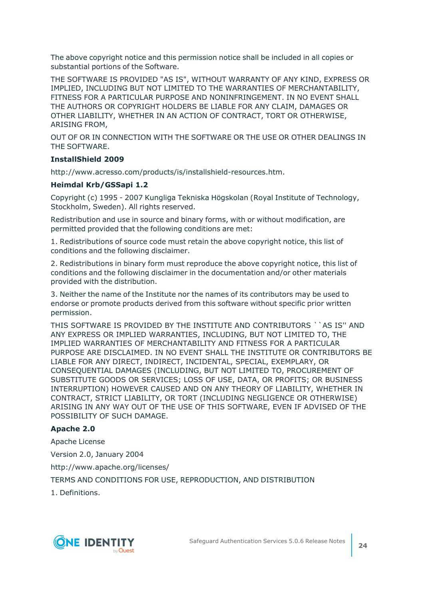The above copyright notice and this permission notice shall be included in all copies or substantial portions of the Software.

THE SOFTWARE IS PROVIDED "AS IS", WITHOUT WARRANTY OF ANY KIND, EXPRESS OR IMPLIED, INCLUDING BUT NOT LIMITED TO THE WARRANTIES OF MERCHANTABILITY, FITNESS FOR A PARTICULAR PURPOSE AND NONINFRINGEMENT. IN NO EVENT SHALL THE AUTHORS OR COPYRIGHT HOLDERS BE LIABLE FOR ANY CLAIM, DAMAGES OR OTHER LIABILITY, WHETHER IN AN ACTION OF CONTRACT, TORT OR OTHERWISE, ARISING FROM,

OUT OF OR IN CONNECTION WITH THE SOFTWARE OR THE USE OR OTHER DEALINGS IN THE SOFTWARE.

#### **InstallShield 2009**

http://www.acresso.com/products/is/installshield-resources.htm.

#### **Heimdal Krb/GSSapi 1.2**

Copyright (c) 1995 - 2007 Kungliga Tekniska Högskolan (Royal Institute of Technology, Stockholm, Sweden). All rights reserved.

Redistribution and use in source and binary forms, with or without modification, are permitted provided that the following conditions are met:

1. Redistributions of source code must retain the above copyright notice, this list of conditions and the following disclaimer.

2. Redistributions in binary form must reproduce the above copyright notice, this list of conditions and the following disclaimer in the documentation and/or other materials provided with the distribution.

3. Neither the name of the Institute nor the names of its contributors may be used to endorse or promote products derived from this software without specific prior written permission.

THIS SOFTWARE IS PROVIDED BY THE INSTITUTE AND CONTRIBUTORS ``AS IS'' AND ANY EXPRESS OR IMPLIED WARRANTIES, INCLUDING, BUT NOT LIMITED TO, THE IMPLIED WARRANTIES OF MERCHANTABILITY AND FITNESS FOR A PARTICULAR PURPOSE ARE DISCLAIMED. IN NO EVENT SHALL THE INSTITUTE OR CONTRIBUTORS BE LIABLE FOR ANY DIRECT, INDIRECT, INCIDENTAL, SPECIAL, EXEMPLARY, OR CONSEQUENTIAL DAMAGES (INCLUDING, BUT NOT LIMITED TO, PROCUREMENT OF SUBSTITUTE GOODS OR SERVICES; LOSS OF USE, DATA, OR PROFITS; OR BUSINESS INTERRUPTION) HOWEVER CAUSED AND ON ANY THEORY OF LIABILITY, WHETHER IN CONTRACT, STRICT LIABILITY, OR TORT (INCLUDING NEGLIGENCE OR OTHERWISE) ARISING IN ANY WAY OUT OF THE USE OF THIS SOFTWARE, EVEN IF ADVISED OF THE POSSIBILITY OF SUCH DAMAGE.

#### **Apache 2.0**

Apache License

Version 2.0, January 2004

http://www.apache.org/licenses/

TERMS AND CONDITIONS FOR USE, REPRODUCTION, AND DISTRIBUTION

1. Definitions.

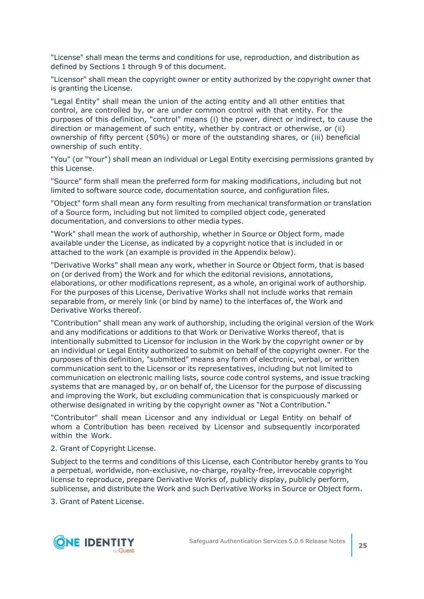"License" shall mean the terms and conditions for use, reproduction, and distribution as defined by Sections 1 through 9 of this document.

"Licensor" shall mean the copyright owner or entity authorized by the copyright owner that is granting the License.

"Legal Entity" shall mean the union of the acting entity and all other entities that control, are controlled by, or are under common control with that entity. For the purposes of this definition, "control" means (i) the power, direct or indirect, to cause the direction or management of such entity, whether by contract or otherwise, or (ii) ownership of fifty percent (50%) or more of the outstanding shares, or (iii) beneficial ownership of such entity.

"You" (or "Your") shall mean an individual or Legal Entity exercising permissions granted by this License.

"Source" form shall mean the preferred form for making modifications, including but not limited to software source code, documentation source, and configuration files.

"Object" form shall mean any form resulting from mechanical transformation or translation of a Source form, including but not limited to compiled object code, generated documentation, and conversions to other media types.

"Work" shall mean the work of authorship, whether in Source or Object form, made available under the License, as indicated by a copyright notice that is included in or attached to the work (an example is provided in the Appendix below).

"Derivative Works" shall mean any work, whether in Source or Object form, that is based on (or derived from) the Work and for which the editorial revisions, annotations, elaborations, or other modifications represent, as a whole, an original work of authorship. For the purposes of this License, Derivative Works shall not include works that remain separable from, or merely link (or bind by name) to the interfaces of, the Work and Derivative Works thereof.

"Contribution" shall mean any work of authorship, including the original version of the Work and any modifications or additions to that Work or Derivative Works thereof, that is intentionally submitted to Licensor for inclusion in the Work by the copyright owner or by an individual or Legal Entity authorized to submit on behalf of the copyright owner. For the purposes of this definition, "submitted" means any form of electronic, verbal, or written communication sent to the Licensor or its representatives, including but not limited to communication on electronic mailing lists, source code control systems, and issue tracking systems that are managed by, or on behalf of, the Licensor for the purpose of discussing and improving the Work, but excluding communication that is conspicuously marked or otherwise designated in writing by the copyright owner as "Not a Contribution."

"Contributor" shall mean Licensor and any individual or Legal Entity on behalf of whom a Contribution has been received by Licensor and subsequently incorporated within the Work.

2. Grant of Copyright License.

Subject to the terms and conditions of this License, each Contributor hereby grants to You a perpetual, worldwide, non-exclusive, no-charge, royalty-free, irrevocable copyright license to reproduce, prepare Derivative Works of, publicly display, publicly perform, sublicense, and distribute the Work and such Derivative Works in Source or Object form.

3. Grant of Patent License.

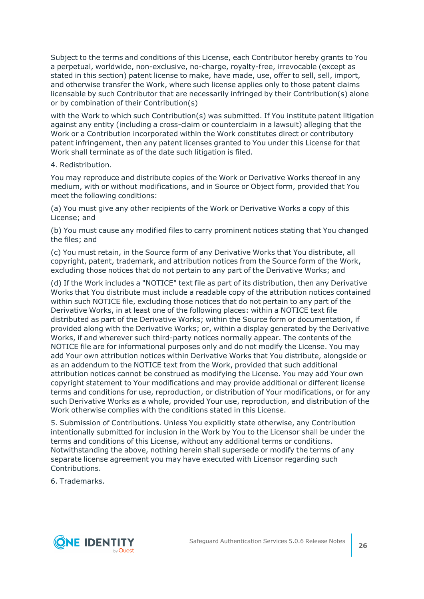Subject to the terms and conditions of this License, each Contributor hereby grants to You a perpetual, worldwide, non-exclusive, no-charge, royalty-free, irrevocable (except as stated in this section) patent license to make, have made, use, offer to sell, sell, import, and otherwise transfer the Work, where such license applies only to those patent claims licensable by such Contributor that are necessarily infringed by their Contribution(s) alone or by combination of their Contribution(s)

with the Work to which such Contribution(s) was submitted. If You institute patent litigation against any entity (including a cross-claim or counterclaim in a lawsuit) alleging that the Work or a Contribution incorporated within the Work constitutes direct or contributory patent infringement, then any patent licenses granted to You under this License for that Work shall terminate as of the date such litigation is filed.

#### 4. Redistribution.

You may reproduce and distribute copies of the Work or Derivative Works thereof in any medium, with or without modifications, and in Source or Object form, provided that You meet the following conditions:

(a) You must give any other recipients of the Work or Derivative Works a copy of this License; and

(b) You must cause any modified files to carry prominent notices stating that You changed the files; and

(c) You must retain, in the Source form of any Derivative Works that You distribute, all copyright, patent, trademark, and attribution notices from the Source form of the Work, excluding those notices that do not pertain to any part of the Derivative Works; and

(d) If the Work includes a "NOTICE" text file as part of its distribution, then any Derivative Works that You distribute must include a readable copy of the attribution notices contained within such NOTICE file, excluding those notices that do not pertain to any part of the Derivative Works, in at least one of the following places: within a NOTICE text file distributed as part of the Derivative Works; within the Source form or documentation, if provided along with the Derivative Works; or, within a display generated by the Derivative Works, if and wherever such third-party notices normally appear. The contents of the NOTICE file are for informational purposes only and do not modify the License. You may add Your own attribution notices within Derivative Works that You distribute, alongside or as an addendum to the NOTICE text from the Work, provided that such additional attribution notices cannot be construed as modifying the License. You may add Your own copyright statement to Your modifications and may provide additional or different license terms and conditions for use, reproduction, or distribution of Your modifications, or for any such Derivative Works as a whole, provided Your use, reproduction, and distribution of the Work otherwise complies with the conditions stated in this License.

5. Submission of Contributions. Unless You explicitly state otherwise, any Contribution intentionally submitted for inclusion in the Work by You to the Licensor shall be under the terms and conditions of this License, without any additional terms or conditions. Notwithstanding the above, nothing herein shall supersede or modify the terms of any separate license agreement you may have executed with Licensor regarding such Contributions.

6. Trademarks.

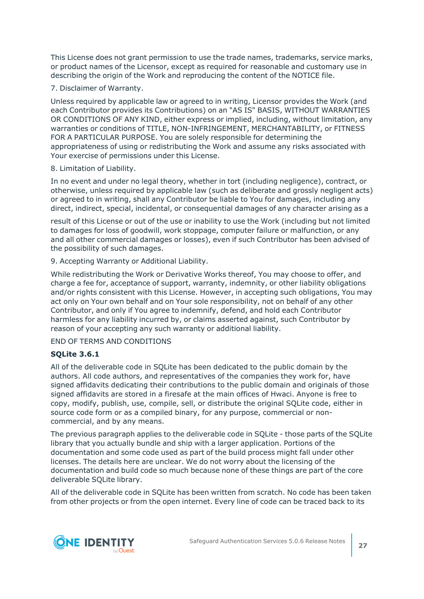This License does not grant permission to use the trade names, trademarks, service marks, or product names of the Licensor, except as required for reasonable and customary use in describing the origin of the Work and reproducing the content of the NOTICE file.

#### 7. Disclaimer of Warranty.

Unless required by applicable law or agreed to in writing, Licensor provides the Work (and each Contributor provides its Contributions) on an "AS IS" BASIS, WITHOUT WARRANTIES OR CONDITIONS OF ANY KIND, either express or implied, including, without limitation, any warranties or conditions of TITLE, NON-INFRINGEMENT, MERCHANTABILITY, or FITNESS FOR A PARTICULAR PURPOSE. You are solely responsible for determining the appropriateness of using or redistributing the Work and assume any risks associated with Your exercise of permissions under this License.

#### 8. Limitation of Liability.

In no event and under no legal theory, whether in tort (including negligence), contract, or otherwise, unless required by applicable law (such as deliberate and grossly negligent acts) or agreed to in writing, shall any Contributor be liable to You for damages, including any direct, indirect, special, incidental, or consequential damages of any character arising as a

result of this License or out of the use or inability to use the Work (including but not limited to damages for loss of goodwill, work stoppage, computer failure or malfunction, or any and all other commercial damages or losses), even if such Contributor has been advised of the possibility of such damages.

9. Accepting Warranty or Additional Liability.

While redistributing the Work or Derivative Works thereof, You may choose to offer, and charge a fee for, acceptance of support, warranty, indemnity, or other liability obligations and/or rights consistent with this License. However, in accepting such obligations, You may act only on Your own behalf and on Your sole responsibility, not on behalf of any other Contributor, and only if You agree to indemnify, defend, and hold each Contributor harmless for any liability incurred by, or claims asserted against, such Contributor by reason of your accepting any such warranty or additional liability.

END OF TERMS AND CONDITIONS

#### **SQLite 3.6.1**

All of the deliverable code in SQLite has been dedicated to the public domain by the authors. All code authors, and representatives of the companies they work for, have signed affidavits dedicating their contributions to the public domain and originals of those signed affidavits are stored in a firesafe at the main offices of Hwaci. Anyone is free to copy, modify, publish, use, compile, sell, or distribute the original SQLite code, either in source code form or as a compiled binary, for any purpose, commercial or noncommercial, and by any means.

The previous paragraph applies to the deliverable code in SQLite - those parts of the SQLite library that you actually bundle and ship with a larger application. Portions of the documentation and some code used as part of the build process might fall under other licenses. The details here are unclear. We do not worry about the licensing of the documentation and build code so much because none of these things are part of the core deliverable SQLite library.

All of the deliverable code in SQLite has been written from scratch. No code has been taken from other projects or from the open internet. Every line of code can be traced back to its

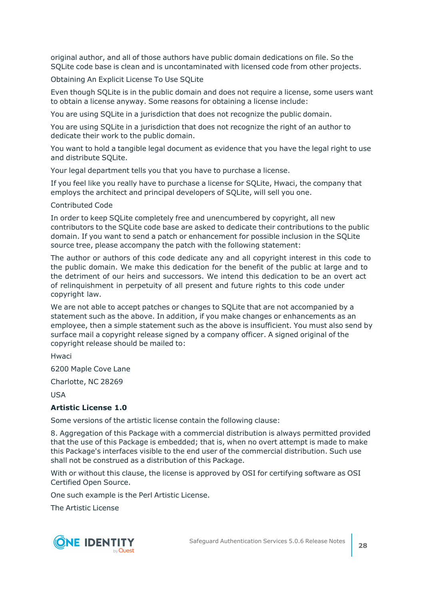original author, and all of those authors have public domain dedications on file. So the SQLite code base is clean and is uncontaminated with licensed code from other projects.

Obtaining An Explicit License To Use SQLite

Even though SQLite is in the public domain and does not require a license, some users want to obtain a license anyway. Some reasons for obtaining a license include:

You are using SQLite in a jurisdiction that does not recognize the public domain.

You are using SQLite in a jurisdiction that does not recognize the right of an author to dedicate their work to the public domain.

You want to hold a tangible legal document as evidence that you have the legal right to use and distribute SQLite.

Your legal department tells you that you have to purchase a license.

If you feel like you really have to purchase a license for SQLite, Hwaci, the company that employs the architect and principal developers of SQLite, will sell you one.

#### Contributed Code

In order to keep SQLite completely free and unencumbered by copyright, all new contributors to the SQLite code base are asked to dedicate their contributions to the public domain. If you want to send a patch or enhancement for possible inclusion in the SQLite source tree, please accompany the patch with the following statement:

The author or authors of this code dedicate any and all copyright interest in this code to the public domain. We make this dedication for the benefit of the public at large and to the detriment of our heirs and successors. We intend this dedication to be an overt act of relinquishment in perpetuity of all present and future rights to this code under copyright law.

We are not able to accept patches or changes to SQLite that are not accompanied by a statement such as the above. In addition, if you make changes or enhancements as an employee, then a simple statement such as the above is insufficient. You must also send by surface mail a copyright release signed by a company officer. A signed original of the copyright release should be mailed to:

Hwaci

6200 Maple Cove Lane

Charlotte, NC 28269

USA

#### **Artistic License 1.0**

Some versions of the artistic license contain the following clause:

8. Aggregation of this Package with a commercial distribution is always permitted provided that the use of this Package is embedded; that is, when no overt attempt is made to make this Package's interfaces visible to the end user of the commercial distribution. Such use shall not be construed as a distribution of this Package.

With or without this clause, the license is approved by OSI for certifying software as OSI Certified Open Source.

One such example is the Perl Artistic License.

The Artistic License

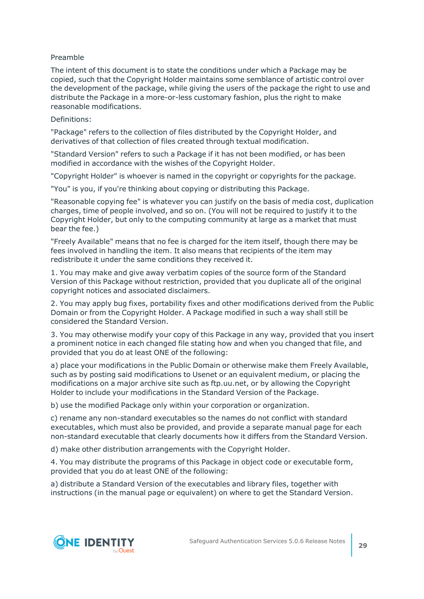#### Preamble

The intent of this document is to state the conditions under which a Package may be copied, such that the Copyright Holder maintains some semblance of artistic control over the development of the package, while giving the users of the package the right to use and distribute the Package in a more-or-less customary fashion, plus the right to make reasonable modifications.

#### Definitions:

"Package" refers to the collection of files distributed by the Copyright Holder, and derivatives of that collection of files created through textual modification.

"Standard Version" refers to such a Package if it has not been modified, or has been modified in accordance with the wishes of the Copyright Holder.

"Copyright Holder" is whoever is named in the copyright or copyrights for the package.

"You" is you, if you're thinking about copying or distributing this Package.

"Reasonable copying fee" is whatever you can justify on the basis of media cost, duplication charges, time of people involved, and so on. (You will not be required to justify it to the Copyright Holder, but only to the computing community at large as a market that must bear the fee.)

"Freely Available" means that no fee is charged for the item itself, though there may be fees involved in handling the item. It also means that recipients of the item may redistribute it under the same conditions they received it.

1. You may make and give away verbatim copies of the source form of the Standard Version of this Package without restriction, provided that you duplicate all of the original copyright notices and associated disclaimers.

2. You may apply bug fixes, portability fixes and other modifications derived from the Public Domain or from the Copyright Holder. A Package modified in such a way shall still be considered the Standard Version.

3. You may otherwise modify your copy of this Package in any way, provided that you insert a prominent notice in each changed file stating how and when you changed that file, and provided that you do at least ONE of the following:

a) place your modifications in the Public Domain or otherwise make them Freely Available, such as by posting said modifications to Usenet or an equivalent medium, or placing the modifications on a major archive site such as ftp.uu.net, or by allowing the Copyright Holder to include your modifications in the Standard Version of the Package.

b) use the modified Package only within your corporation or organization.

c) rename any non-standard executables so the names do not conflict with standard executables, which must also be provided, and provide a separate manual page for each non-standard executable that clearly documents how it differs from the Standard Version.

d) make other distribution arrangements with the Copyright Holder.

4. You may distribute the programs of this Package in object code or executable form, provided that you do at least ONE of the following:

a) distribute a Standard Version of the executables and library files, together with instructions (in the manual page or equivalent) on where to get the Standard Version.

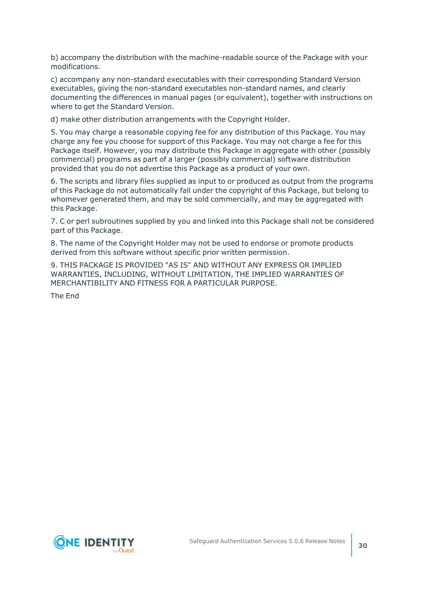b) accompany the distribution with the machine-readable source of the Package with your modifications.

c) accompany any non-standard executables with their corresponding Standard Version executables, giving the non-standard executables non-standard names, and clearly documenting the differences in manual pages (or equivalent), together with instructions on where to get the Standard Version.

d) make other distribution arrangements with the Copyright Holder.

5. You may charge a reasonable copying fee for any distribution of this Package. You may charge any fee you choose for support of this Package. You may not charge a fee for this Package itself. However, you may distribute this Package in aggregate with other (possibly commercial) programs as part of a larger (possibly commercial) software distribution provided that you do not advertise this Package as a product of your own.

6. The scripts and library files supplied as input to or produced as output from the programs of this Package do not automatically fall under the copyright of this Package, but belong to whomever generated them, and may be sold commercially, and may be aggregated with this Package.

7. C or perl subroutines supplied by you and linked into this Package shall not be considered part of this Package.

8. The name of the Copyright Holder may not be used to endorse or promote products derived from this software without specific prior written permission.

9. THIS PACKAGE IS PROVIDED "AS IS" AND WITHOUT ANY EXPRESS OR IMPLIED WARRANTIES, INCLUDING, WITHOUT LIMITATION, THE IMPLIED WARRANTIES OF MERCHANTIBILITY AND FITNESS FOR A PARTICULAR PURPOSE.

The End